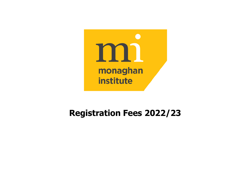

# **Registration Fees 2022/23**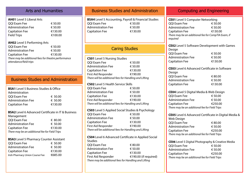# Arts and Humanities

| <b>AH01</b> Level 5 Liberal Arts    |         |
|-------------------------------------|---------|
| QQI Exam Fee                        | € 50.00 |
| <b>Administration Fee</b>           | € 50.00 |
| <b>Capitation Fee</b>               | €130.00 |
| <b>Field Trips</b>                  | €100.00 |
|                                     |         |
| <b>AH02</b> Level 5 Performing Arts |         |
|                                     |         |
| QQI Exam Fee                        | € 50.00 |
| Administration Fee                  | € 50.00 |
| <b>Capitation Fee</b>               | €130.00 |

# Business Studies and Administration

| <b>BSA1</b> Level 5 Business Studies & Office |         |  |
|-----------------------------------------------|---------|--|
| Administration                                |         |  |
| QQI Exam Fee                                  | € 50.00 |  |
| <b>Administration Fee</b>                     | € 50.00 |  |
| <b>Capitation Fee</b>                         | €130.00 |  |

### **BSA2** Level 6 Advanced Certificate in IT & Business

| Management                                     |         |  |
|------------------------------------------------|---------|--|
| QQI Exam Fee                                   | € 80.00 |  |
| <b>Administration Fee</b>                      | € 50.00 |  |
| <b>Capitation Fee</b>                          | €130.00 |  |
| There may be an additional fee for Field Trips |         |  |

### **BSA3** Level 5 Pharmacy Counter Assistant

| QQI Exam Fee                    | € 50.00 |
|---------------------------------|---------|
| <b>Administration Fee</b>       | € 50.00 |
| <b>Capitation Fee</b>           | €130.00 |
| Irish Pharmacy Union Course Fee | €685.00 |

# **BSA4** Level 5 Accounting, Payroll & Financial Studies  $\bigcap$  Exam Fee  $\bigoplus$  E 50.00 Administration Fee  $\epsilon$  50.00 Capitation Fee **€130.00** Caring Studies **CS01** Level 5 Nursing Studies  $OOI$  Exam Fee  $\epsilon$  50.00 Administration Fee  $\epsilon$  50.00 Capitation Fee **€130.00** First Aid Responder **€190.00** *There will be additional fees for Handling and Lifting* **CS02** Level 5 Health Service Skills  $\bigcirc$ OOI Exam Fee  $\bigcirc$  6.50.00 Administration Fee  $\epsilon$  50.00 Capitation Fee **€130.00** First Aid Responder €190.00 *There will be additional fees for Handling and Lifting* **CS03** Level 5 Applied Social Studies & Psychology  $\bigcirc$ OOI Exam Fee  $\bigcirc$  6 50.00 Administration Fee  $\epsilon$  50.00 Capitation Fee **€130.00** First Aid Responder €190.00 *There will be additional fees for Handling and Lifting* **CS04** Level 6 Advanced Certificate in Applied Social Studies  $OOI$  Exam Fee  $\epsilon$  80.00 Administration Fee  $\epsilon$  50.00 Capitation Fee €130.00 First Aid Responder €190.00 (if required) Business Studies and Administration

*There may be additional fees for Handling and Lifting*

## Computing and Engineering **CE01** Level 5 Computer Networking  $\bigcirc$ OOI Exam Fee  $\bigcirc$  6.50.00 Administration Fee  $\epsilon$  50.00 Capitation Fee **€130.00** *There may be an additional fee for CompTIA Exam, if required* **CE02** Level 5 Software Development with Games Design  $OOI$  Exam Fee  $650.00$ Administration Fee  $\epsilon$  50.00 Capitation Fee **€130.00 CE03** Level 6 Advanced Certificate in Software Design  $OOI$  Exam Fee  $\epsilon$  80.00 Administration Fee  $\epsilon$  50.00 Capitation Fee **€130.00 CE04** Level 5 Digital Media & Web Design QQI Exam Fee € 50.00 Administration Fee  $\epsilon$  50.00 Capitation Fee **€250.00** *There may be an additional fee for Field Trips* **CE05** Level 6 Advanced Certificate in Digital Media & Web Design OOI Exam Fee <del>€</del> 80.00 Administration Fee  $650.00$ Capitation Fee <del>€250.00</del>

*There may be an additional fee for Field Trips*

| CE06 Level 5 Digital Photography & Creative Media |         |  |
|---------------------------------------------------|---------|--|
| QQI Exam Fee                                      | € 50.00 |  |
| <b>Administration Fee</b>                         | € 50.00 |  |
| <b>Capitation Fee</b>                             | €250.00 |  |
| There may be an additional fee for Field Trips    |         |  |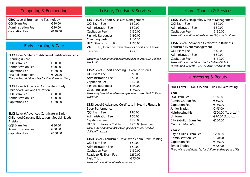|                                                                                                                                                                                                                                                                                                                                                                                                                                                                                                                                                                                                                                                                                 | <b>Computing &amp; Engineering</b>       |  |  |
|---------------------------------------------------------------------------------------------------------------------------------------------------------------------------------------------------------------------------------------------------------------------------------------------------------------------------------------------------------------------------------------------------------------------------------------------------------------------------------------------------------------------------------------------------------------------------------------------------------------------------------------------------------------------------------|------------------------------------------|--|--|
| <b>CE07</b> Level 5 Engineering Technology<br>QQI Exam Fee<br>€ 50.00<br><b>Administration Fee</b><br>€ 50.00<br><b>Capitation Fee</b>                                                                                                                                                                                                                                                                                                                                                                                                                                                                                                                                          | €130.00                                  |  |  |
| <b>Early Learning &amp; Care</b>                                                                                                                                                                                                                                                                                                                                                                                                                                                                                                                                                                                                                                                |                                          |  |  |
| <b>ELC1</b> Level 5 (Stage 1) Advanced Certificate in Early<br>Learning & Care<br>QQI Exam Fee<br>€ 50.00<br><b>Administration Fee</b><br>€ 50.00<br><b>Capitation Fee</b><br>First Aid Responder<br>There will be additional fees for Handling and Lifting<br><b>ELC2</b> Level 6 Advanced Certificate in Early<br><b>Childhood Care and Education</b><br><b>OOI Exam Fee</b><br>€ 80.00<br><b>Administration Fee</b><br>€ 50.00<br><b>Capitation Fee</b><br><b>ELC3</b> Level 6 Advanced Certificate in Early<br><b>Childhood Care and Education - Special Needs</b><br>Assistant<br>QQI Exam Fee<br>€ 80.00<br><b>Administration Fee</b><br>€ 50.00<br><b>Capitation Fee</b> | €130.00<br>€190.00<br>€130.00<br>€130.00 |  |  |

### Computing & Engineering Leisure, Tourism & Services Leisure, Tourism & Services **LTS1** Level 5 Sport & Leisure Management  $OOI$  Exam Fee  $\epsilon$  50.00 Administration Fee  $\epsilon$  50.00 Capitation Fee €130.00 First Aid Responder **€190.00** Coaching costs  $\epsilon$  80.00 ITEC Fitness Instructing €150.00 VTCT (ITEC) Infection Prevention for Sport and Fitness Sessions €22.00 *There may be additional fees for specialist courses & MI College Tracksuit* **LTS2** Level 5 Sport Coaching & Exercise Studies  $OOI$  Exam Fee  $650.00$ Administration Fee  $\epsilon$  50.00 Capitation Fee **€130.00** First Aid Responder €190.00 Coaching costs  $\epsilon$  80.00 *There may be additional fees for specialist courses & MI College Tracksuit* **LTS3** Level 6 Advanced Certificate in Health, Fitness & Sport Performance  $OOI$  Exam Fee  $\epsilon$  80.00 Administration Fee  $\epsilon$  50.00 Capitation Fee **€130.00** ITEC Dip in Personal Training €575.00 (elective) *There may be additional fees for specialist courses and MI College Tracksuit* **LTS4** Level 5 Tourism & Travel with Cabin Crew Training  $OOI$  Exam Fee  $\epsilon$  50.00 Administration Fee  $\epsilon$  50.00 Capitation Fee **€130.00** Ready to Fly Exam Fee  $\epsilon$ 250.00 Field Trips  $\epsilon$  75.00 *There will be additional costs for uniform*

**LTS5** Level 5 Hospitality & Event Management  $OOI$  Exam Fee  $\epsilon$  50.00 Administration Fee  $\epsilon$  50.00 Capitation Fee €130.00 *There will be additional costs for field trips and uniform*

**LTS6** Level 6 Advanced Certificate in Business Tourism & Event Management  $OOI$  Exam Fee  $\epsilon$  80.00 Administration Fee  $\epsilon$  50.00 Capitation Fee **€130.00** *There will be an additional fee for Galileo/Global Distribution Systems (GDS), field trips and uniform*

## Hairdressing & Beauty

**HBT1** Level 5 (QQI / City and Guilds) in Hairdressing

### **Year 1**

| QQI Exam Fee              | € 50.00            |
|---------------------------|--------------------|
| <b>Administration Fee</b> | € 50.00            |
| <b>Capitation Fee</b>     | €130.00            |
| <b>Junior Trades</b>      | € 95.00            |
| Hairdressing Kit          | €500.00 (Approx.)* |
| Uniform                   | € 70.00 (Approx.)* |
| City & Guilds Exam Fee    | €200.00            |
| *Paid at a later date     |                    |

### **Year 2**

| City & Guilds Exam Fee                                      | €200.00 |  |
|-------------------------------------------------------------|---------|--|
| <b>Administration Fee</b>                                   | € 50.00 |  |
| Capitation Fee                                              | €130.00 |  |
| Senior Trades                                               | € 95.00 |  |
| There will be additional fee for Uniform and upgrade of Kit |         |  |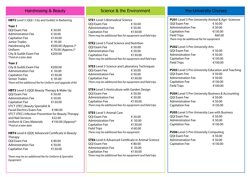| Hairdressing & Beauty                                                       |                                                             | Science & the Environment                                                                                    |                                                            | <b>Pre-University Courses</b>                                      |                                                                                            |
|-----------------------------------------------------------------------------|-------------------------------------------------------------|--------------------------------------------------------------------------------------------------------------|------------------------------------------------------------|--------------------------------------------------------------------|--------------------------------------------------------------------------------------------|
| HBT2 Level 5 (QQI / City and Guilds) in Barbering<br>Year 1<br>QQI Exam Fee | € 50.00                                                     | <b>STE1</b> Level 5 Biomedical Science<br>OOI Exam Fee<br><b>Administration Fee</b><br><b>Capitation Fee</b> | € 50.00<br>€ 50.00<br>€130.00                              | OOI Exam Fee<br><b>Administration Fee</b><br><b>Capitation Fee</b> | <b>PU01</b> Level 5 Pre-University Animal & Agri-Sciences<br>€ 50.00<br>€ 50.00<br>€130.00 |
| <b>Administration Fee</b><br><b>Capitation Fee</b>                          | € 50.00<br>€130.00                                          | There may be additional fees for equipment and field trips                                                   |                                                            | <b>Field Trips</b>                                                 | €60.00                                                                                     |
| <b>Junior Trades</b>                                                        | € 95.00                                                     |                                                                                                              |                                                            | There may be additional fee for equipment                          |                                                                                            |
| Hairdressing Kit                                                            | €500.00 (Approx.)*                                          | <b>STE2</b> Level 5 Food Science and Nutrition<br>QQI Exam Fee                                               | € 50.00                                                    | <b>PU02</b> Level 5 Pre-University Arts                            |                                                                                            |
| Uniform                                                                     | € 70.00 (Approx.)*                                          | <b>Administration Fee</b>                                                                                    | € 50.00                                                    | QQI Exam Fee                                                       | € 50.00                                                                                    |
| City & Guilds Exam Fee                                                      | €200.00                                                     | <b>Capitation Fee</b>                                                                                        | €130.00                                                    | <b>Administration Fee</b>                                          | € 50.00                                                                                    |
| *Paid at a later date                                                       |                                                             |                                                                                                              | There may be additional fees for equipment and field trips | <b>Capitation Fee</b>                                              | €130.00                                                                                    |
| Year 2                                                                      |                                                             |                                                                                                              |                                                            | <b>Field Trips</b>                                                 | €100.00                                                                                    |
| City & Guilds Exam Fee                                                      | €200.00                                                     | <b>STE3</b> Level 5 Science and Laboratory Techniques                                                        |                                                            |                                                                    |                                                                                            |
| <b>Administration Fee</b>                                                   | € 50.00                                                     | QQI Exam Fee                                                                                                 | € 50.00                                                    |                                                                    | <b>PU03</b> Level 5 Pre-University Education and Teaching                                  |
| <b>Capitation Fee</b>                                                       | €130.00                                                     | <b>Administration Fee</b>                                                                                    | € 50.00                                                    | QQI Exam Fee                                                       | € 50.00                                                                                    |
| <b>Senior Trades</b>                                                        | € 95.00                                                     | <b>Capitation Fee</b>                                                                                        | €130.00                                                    | <b>Administration Fee</b>                                          | € 50.00                                                                                    |
|                                                                             | There will be additional fee for Uniform and upgrade of Kit |                                                                                                              | There may be additional fees for equipment and field trips | <b>Capitation Fee</b>                                              | €130.00                                                                                    |
|                                                                             |                                                             |                                                                                                              |                                                            | <b>Field Trips</b>                                                 | €100.00                                                                                    |
| HBT3 Level 5 (QQI) Beauty Therapy & Make Up                                 |                                                             | <b>STE4</b> Level 5 Horticulture with Garden Design                                                          |                                                            |                                                                    |                                                                                            |
| QQI Exam Fee                                                                | € 50.00                                                     | QQI Exam Fee                                                                                                 | € 50.00                                                    |                                                                    | <b>PU04</b> Level 5 Pre-University Business & Accounting                                   |
| <b>Administration Fee</b>                                                   | € 50.00                                                     | <b>Administration Fee</b>                                                                                    | € 50.00                                                    | QQI Exam Fee                                                       | € 50.00                                                                                    |
| <b>Capitation Fee</b>                                                       | €130.00                                                     | <b>Capitation Fee</b>                                                                                        | €130.00                                                    | <b>Administration Fee</b>                                          | € 50.00                                                                                    |
| VTCT (ITEC) Beauty Specialist &                                             |                                                             |                                                                                                              | There may be additional fees for equipment and field trips |                                                                    | €130.00                                                                                    |
| <b>Facial Electrics Exam Fee</b>                                            | €180.00                                                     |                                                                                                              |                                                            |                                                                    |                                                                                            |
| VTCT (ITEC) Infection Prevention for Beauty Therapy                         |                                                             | <b>STE5</b> Level 5 Animal Care                                                                              |                                                            | <b>PU05</b> Level 5 Pre-University Law with Business               |                                                                                            |
| and Nail Services                                                           | €22.00                                                      | QQI Exam Fee                                                                                                 | € 50.00                                                    | QQI Exam Fee                                                       | € 50.00                                                                                    |
| <b>Uniform &amp; Class Materials</b>                                        | €150.00 (Approx)*                                           | <b>Administration Fee</b>                                                                                    | € 50.00                                                    | <b>Administration Fee</b>                                          | € 50.00                                                                                    |
| *Paid at a later date                                                       |                                                             | <b>Capitation Fee</b>                                                                                        | €130.00                                                    | <b>Capitation Fee</b>                                              | €130.00                                                                                    |
|                                                                             |                                                             | <b>Field Trips</b>                                                                                           | € 60.00                                                    |                                                                    |                                                                                            |
| HBT4 Level 6 (QQI) Advanced Certificate in Beauty                           |                                                             | There may be additional fees for equipment                                                                   |                                                            | <b>PU06</b> Level 5 Pre-University Computing                       |                                                                                            |
| Therapy                                                                     |                                                             |                                                                                                              |                                                            | QQI Exam Fee                                                       | € 50.00                                                                                    |
| QQI Exam Fee                                                                | € 80.00                                                     |                                                                                                              | <b>STE6</b> Level 6 Advanced Certificate in Animal Science | <b>Administration Fee</b>                                          | € 50.00                                                                                    |
| <b>Administration Fee</b>                                                   | € 50.00                                                     | QQI Exam Fee                                                                                                 | € 80.00                                                    | <b>Capitation Fee</b>                                              | €130.00                                                                                    |
| <b>Capitation Fee</b>                                                       | €130.00                                                     | <b>Administration Fee</b>                                                                                    | 650.00                                                     |                                                                    |                                                                                            |
|                                                                             |                                                             | <b>Capitation Fee</b>                                                                                        | €130.00                                                    |                                                                    |                                                                                            |
| There may be an additional fee for Uniform & Specialist<br>Equipment        |                                                             |                                                                                                              | There may be additional fees for equipment and field trips |                                                                    |                                                                                            |